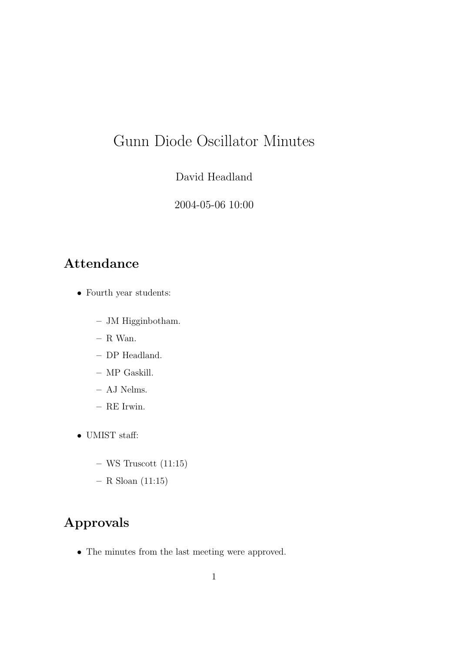# Gunn Diode Oscillator Minutes

David Headland

2004-05-06 10:00

### Attendance

- Fourth year students:
	- JM Higginbotham.
	- R Wan.
	- DP Headland.
	- MP Gaskill.
	- AJ Nelms.
	- RE Irwin.
- UMIST staff:
	- $-$  WS Truscott (11:15)
	- $-$  R Sloan (11:15)

## Approvals

• The minutes from the last meeting were approved.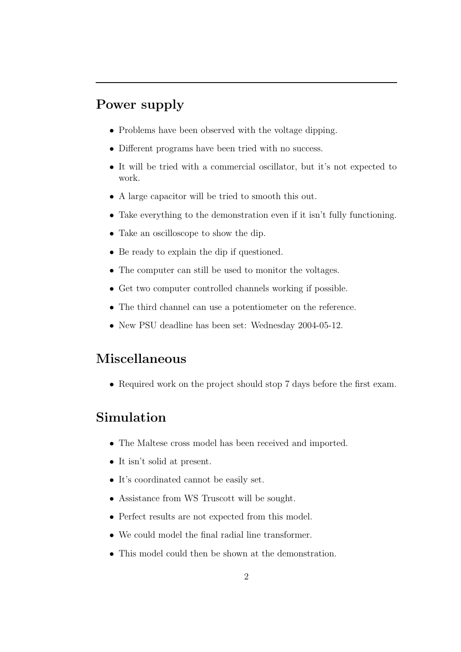### Power supply

- Problems have been observed with the voltage dipping.
- Different programs have been tried with no success.
- It will be tried with a commercial oscillator, but it's not expected to work.
- A large capacitor will be tried to smooth this out.
- Take everything to the demonstration even if it isn't fully functioning.
- Take an oscilloscope to show the dip.
- Be ready to explain the dip if questioned.
- The computer can still be used to monitor the voltages.
- Get two computer controlled channels working if possible.
- The third channel can use a potentiometer on the reference.
- New PSU deadline has been set: Wednesday 2004-05-12.

#### Miscellaneous

• Required work on the project should stop 7 days before the first exam.

#### Simulation

- The Maltese cross model has been received and imported.
- It isn't solid at present.
- It's coordinated cannot be easily set.
- Assistance from WS Truscott will be sought.
- Perfect results are not expected from this model.
- We could model the final radial line transformer.
- This model could then be shown at the demonstration.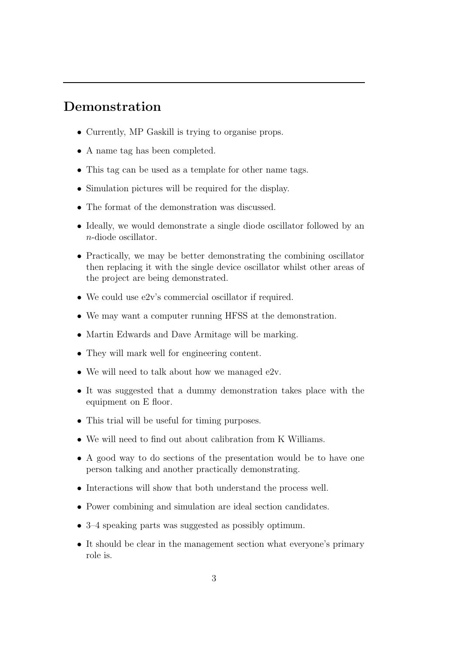#### Demonstration

- Currently, MP Gaskill is trying to organise props.
- A name tag has been completed.
- This tag can be used as a template for other name tags.
- Simulation pictures will be required for the display.
- The format of the demonstration was discussed.
- Ideally, we would demonstrate a single diode oscillator followed by an n-diode oscillator.
- Practically, we may be better demonstrating the combining oscillator then replacing it with the single device oscillator whilst other areas of the project are being demonstrated.
- We could use e2v's commercial oscillator if required.
- We may want a computer running HFSS at the demonstration.
- Martin Edwards and Dave Armitage will be marking.
- They will mark well for engineering content.
- We will need to talk about how we managed  $e2v$ .
- It was suggested that a dummy demonstration takes place with the equipment on E floor.
- This trial will be useful for timing purposes.
- We will need to find out about calibration from K Williams.
- A good way to do sections of the presentation would be to have one person talking and another practically demonstrating.
- Interactions will show that both understand the process well.
- Power combining and simulation are ideal section candidates.
- 3–4 speaking parts was suggested as possibly optimum.
- It should be clear in the management section what everyone's primary role is.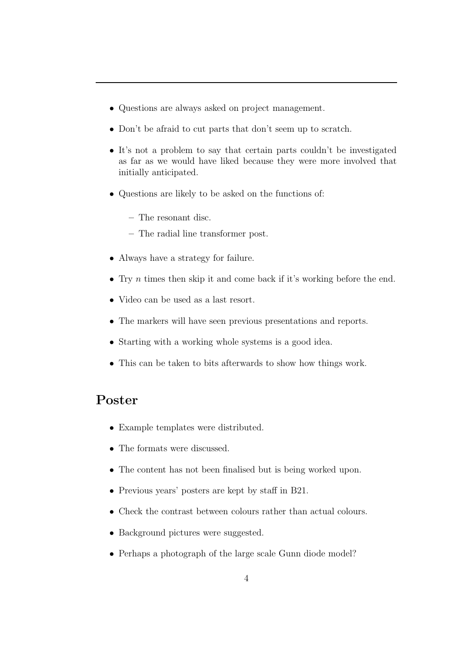- Questions are always asked on project management.
- Don't be afraid to cut parts that don't seem up to scratch.
- It's not a problem to say that certain parts couldn't be investigated as far as we would have liked because they were more involved that initially anticipated.
- Questions are likely to be asked on the functions of:
	- The resonant disc.
	- The radial line transformer post.
- Always have a strategy for failure.
- Try  $n$  times then skip it and come back if it's working before the end.
- Video can be used as a last resort.
- The markers will have seen previous presentations and reports.
- Starting with a working whole systems is a good idea.
- This can be taken to bits afterwards to show how things work.

#### Poster

- Example templates were distributed.
- The formats were discussed.
- The content has not been finalised but is being worked upon.
- Previous years' posters are kept by staff in B21.
- Check the contrast between colours rather than actual colours.
- Background pictures were suggested.
- Perhaps a photograph of the large scale Gunn diode model?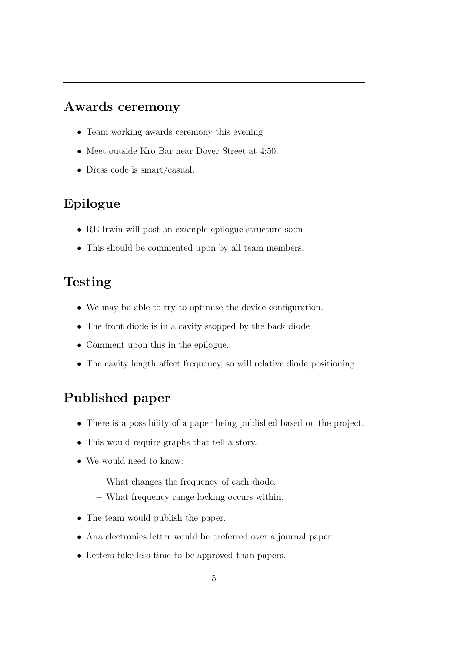#### Awards ceremony

- Team working awards ceremony this evening.
- Meet outside Kro Bar near Dover Street at 4:50.
- Dress code is smart/casual.

## Epilogue

- RE Irwin will post an example epilogue structure soon.
- This should be commented upon by all team members.

### Testing

- We may be able to try to optimise the device configuration.
- The front diode is in a cavity stopped by the back diode.
- Comment upon this in the epilogue.
- The cavity length affect frequency, so will relative diode positioning.

## Published paper

- There is a possibility of a paper being published based on the project.
- This would require graphs that tell a story.
- We would need to know:
	- What changes the frequency of each diode.
	- What frequency range locking occurs within.
- The team would publish the paper.
- Ana electronics letter would be preferred over a journal paper.
- Letters take less time to be approved than papers.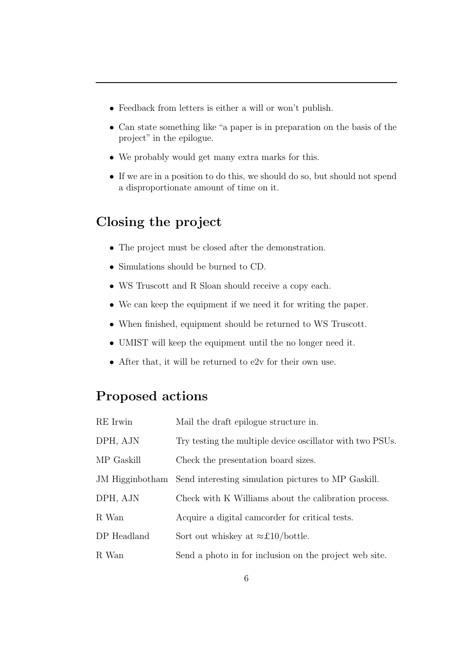- Feedback from letters is either a will or won't publish.
- Can state something like "a paper is in preparation on the basis of the project" in the epilogue.
- We probably would get many extra marks for this.
- If we are in a position to do this, we should do so, but should not spend a disproportionate amount of time on it.

## Closing the project

- The project must be closed after the demonstration.
- Simulations should be burned to CD.
- WS Truscott and R Sloan should receive a copy each.
- We can keep the equipment if we need it for writing the paper.
- When finished, equipment should be returned to WS Truscott.
- UMIST will keep the equipment until the no longer need it.
- After that, it will be returned to e2v for their own use.

## Proposed actions

| RE Irwin    | Mail the draft epilogue structure in.                               |
|-------------|---------------------------------------------------------------------|
| DPH, AJN    | Try testing the multiple device oscillator with two PSUs.           |
| MP Gaskill  | Check the presentation board sizes.                                 |
|             | JM Higginbotham Send interesting simulation pictures to MP Gaskill. |
| DPH, AJN    | Check with K Williams about the calibration process.                |
| R Wan       | Acquire a digital came order for critical tests.                    |
| DP Headland | Sort out whiskey at $\approx$ £10/bottle.                           |
| R Wan       | Send a photo in for inclusion on the project web site.              |